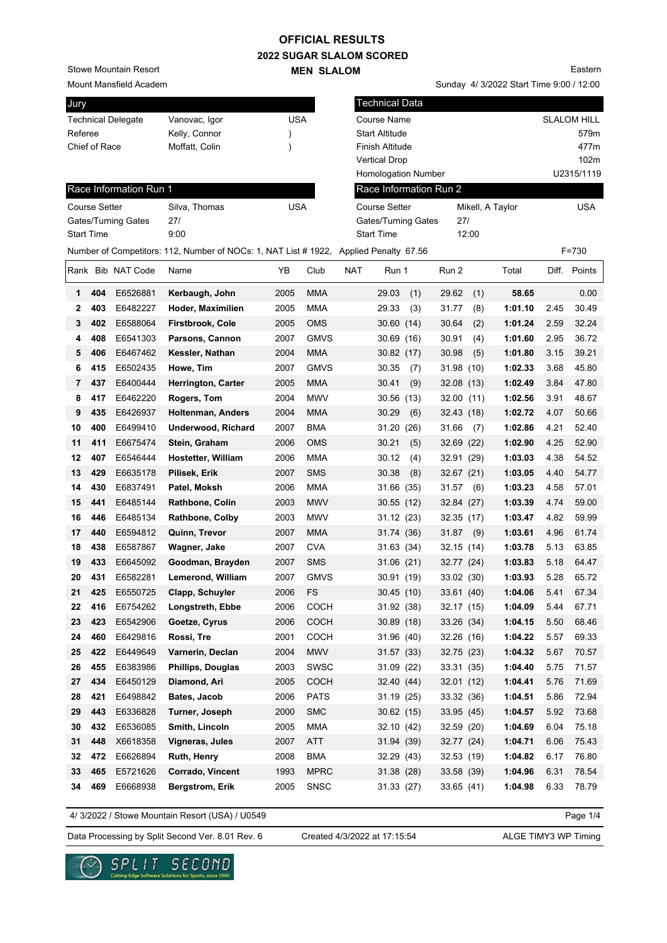## **OFFICIAL RESULTS**

**2022 SUGAR SLALOM SCORED MEN SLALOM** 

Stowe Mountain Resort

Mount Mansfield Academ

| Jury                      |                   |                        |                                                                                       |               |             |                      | <b>Technical Data</b>      |                        |                  |            |                    |            |  |  |
|---------------------------|-------------------|------------------------|---------------------------------------------------------------------------------------|---------------|-------------|----------------------|----------------------------|------------------------|------------------|------------|--------------------|------------|--|--|
| <b>Technical Delegate</b> |                   |                        | Vanovac, Igor                                                                         | <b>USA</b>    |             | Course Name          |                            |                        |                  |            | <b>SLALOM HILL</b> |            |  |  |
| Referee                   |                   |                        | Kelly, Connor                                                                         | )             |             |                      | <b>Start Altitude</b>      |                        |                  |            |                    | 579m       |  |  |
| Chief of Race             |                   |                        | Moffatt, Colin                                                                        | $\mathcal{E}$ |             |                      | Finish Altitude            |                        |                  |            |                    | 477m       |  |  |
|                           |                   |                        |                                                                                       |               |             |                      | <b>Vertical Drop</b>       |                        |                  |            |                    | 102m       |  |  |
|                           |                   |                        |                                                                                       |               |             |                      | <b>Homologation Number</b> |                        |                  |            |                    | U2315/1119 |  |  |
|                           |                   | Race Information Run 1 |                                                                                       |               |             |                      |                            | Race Information Run 2 |                  |            |                    |            |  |  |
| <b>Course Setter</b>      |                   |                        | <b>USA</b><br>Silva, Thomas                                                           |               |             | <b>Course Setter</b> |                            |                        | Mikell, A Taylor | <b>USA</b> |                    |            |  |  |
| Gates/Turning Gates       |                   |                        | 27/                                                                                   |               |             |                      | Gates/Turning Gates        | 27/                    |                  |            |                    |            |  |  |
|                           | <b>Start Time</b> |                        | 9:00                                                                                  |               |             |                      | <b>Start Time</b>          |                        | 12:00            |            |                    |            |  |  |
|                           |                   |                        | Number of Competitors: 112, Number of NOCs: 1, NAT List # 1922, Applied Penalty 67.56 |               |             |                      |                            |                        |                  |            |                    | F=730      |  |  |
|                           |                   | Rank Bib NAT Code      | Name                                                                                  | ΥB            | Club        | NAT                  | Run 1                      | Run 2                  |                  | Total      | Diff.              | Points     |  |  |
| 1                         | 404               | E6526881               | Kerbaugh, John                                                                        | 2005          | <b>MMA</b>  |                      | 29.03<br>(1)               | 29.62                  | (1)              | 58.65      |                    | 0.00       |  |  |
| 2                         | 403               | E6482227               | Hoder, Maximilien                                                                     | 2005          | <b>MMA</b>  |                      | 29.33<br>(3)               | 31.77                  | (8)              | 1:01.10    | 2.45               | 30.49      |  |  |
| 3                         | 402               | E6588064               | <b>Firstbrook, Cole</b>                                                               | 2005          | <b>OMS</b>  |                      | 30.60(14)                  | 30.64                  | (2)              | 1:01.24    | 2.59               | 32.24      |  |  |
| 4                         | 408               | E6541303               | Parsons, Cannon                                                                       | 2007          | <b>GMVS</b> |                      | 30.69 (16)                 | 30.91                  | (4)              | 1:01.60    | 2.95               | 36.72      |  |  |
| 5                         | 406               | E6467462               | Kessler, Nathan                                                                       | 2004          | <b>MMA</b>  |                      | 30.82(17)                  | 30.98                  | (5)              | 1:01.80    | 3.15               | 39.21      |  |  |
| 6                         | 415               | E6502435               | Howe, Tim                                                                             | 2007          | <b>GMVS</b> |                      | 30.35<br>(7)               | 31.98 (10)             |                  | 1:02.33    | 3.68               | 45.80      |  |  |
| 7                         | 437               | E6400444               | <b>Herrington, Carter</b>                                                             | 2005          | <b>MMA</b>  |                      | 30.41<br>(9)               | 32.08 (13)             |                  | 1:02.49    | 3.84               | 47.80      |  |  |
| 8                         | 417               | E6462220               | Rogers, Tom                                                                           | 2004          | <b>MWV</b>  |                      | 30.56 (13)                 | 32.00(11)              |                  | 1:02.56    | 3.91               | 48.67      |  |  |
| 9                         | 435               | E6426937               | <b>Holtenman, Anders</b>                                                              | 2004          | <b>MMA</b>  |                      | 30.29<br>(6)               | 32.43 (18)             |                  | 1:02.72    | 4.07               | 50.66      |  |  |
| 10                        | 400               | E6499410               | <b>Underwood, Richard</b>                                                             | 2007          | <b>BMA</b>  |                      | 31.20 (26)                 | 31.66                  | (7)              | 1:02.86    | 4.21               | 52.40      |  |  |
| 11                        | 411               | E6675474               | Stein, Graham                                                                         | 2006          | <b>OMS</b>  |                      | 30.21<br>(5)               | 32.69 (22)             |                  | 1:02.90    | 4.25               | 52.90      |  |  |
| 12                        | 407               | E6546444               | <b>Hostetter, William</b>                                                             | 2006          | MMA         |                      | 30.12<br>(4)               | 32.91 (29)             |                  | 1:03.03    | 4.38               | 54.52      |  |  |
| 13                        | 429               | E6635178               | Pilisek, Erik                                                                         | 2007          | <b>SMS</b>  |                      | 30.38<br>(8)               | 32.67 (21)             |                  | 1:03.05    | 4.40               | 54.77      |  |  |
| 14                        | 430               | E6837491               | Patel, Moksh                                                                          | 2006          | <b>MMA</b>  |                      | 31.66 (35)                 | 31.57                  | (6)              | 1:03.23    | 4.58               | 57.01      |  |  |
| 15                        | 441               | E6485144               | <b>Rathbone, Colin</b>                                                                | 2003          | <b>MWV</b>  |                      | 30.55(12)                  | 32.84 (27)             |                  | 1:03.39    | 4.74               | 59.00      |  |  |
| 16                        | 446               | E6485134               | Rathbone, Colby                                                                       | 2003          | <b>MWV</b>  |                      | 31.12 (23)                 | 32.35 (17)             |                  | 1:03.47    | 4.82               | 59.99      |  |  |
| 17                        | 440               | E6594812               | Quinn, Trevor                                                                         | 2007          | <b>MMA</b>  |                      | 31.74 (36)                 | 31.87                  | (9)              | 1:03.61    | 4.96               | 61.74      |  |  |
| 18                        | 438               | E6587867               | Wagner, Jake                                                                          | 2007          | <b>CVA</b>  |                      | 31.63 (34)                 | 32.15(14)              |                  | 1:03.78    | 5.13               | 63.85      |  |  |
| 19                        | 433               | E6645092               | Goodman, Brayden                                                                      | 2007          | <b>SMS</b>  |                      | 31.06(21)                  | 32.77 (24)             |                  | 1:03.83    | 5.18               | 64.47      |  |  |
| 20                        | 431               | E6582281               | Lemerond, William                                                                     | 2007          | <b>GMVS</b> |                      | 30.91 (19)                 | 33.02 (30)             |                  | 1:03.93    | 5.28               | 65.72      |  |  |
| 21                        | 425               | E6550725               | Clapp, Schuyler                                                                       | 2006          | FS          |                      | 30.45 (10)                 | 33.61 (40)             |                  | 1:04.06    | 5.41               | 67.34      |  |  |
| 22                        | 416               | E6754262               | Longstreth, Ebbe                                                                      | 2006          | COCH        |                      | 31.92 (38)                 | 32.17 (15)             |                  | 1:04.09    | 5.44               | 67.71      |  |  |
| 23                        | 423               | E6542906               | Goetze, Cyrus                                                                         | 2006          | <b>COCH</b> |                      | 30.89 (18)                 | 33.26 (34)             |                  | 1:04.15    | 5.50               | 68.46      |  |  |
| 24                        | 460               | E6429816               | Rossi, Tre                                                                            | 2001          | COCH        |                      | 31.96 (40)                 | 32.26 (16)             |                  | 1:04.22    | 5.57               | 69.33      |  |  |
| 25                        | 422               | E6449649               | Varnerin, Declan                                                                      | 2004          | <b>MWV</b>  |                      | 31.57 (33)                 | 32.75(23)              |                  | 1:04.32    | 5.67               | 70.57      |  |  |
| 26                        | 455               | E6383986               | <b>Phillips, Douglas</b>                                                              | 2003          | SWSC        |                      | 31.09 (22)                 | 33.31 (35)             |                  | 1:04.40    | 5.75               | 71.57      |  |  |
| 27                        | 434               | E6450129               | Diamond, Ari                                                                          | 2005          | <b>COCH</b> |                      | 32.40 (44)                 | 32.01(12)              |                  | 1:04.41    | 5.76               | 71.69      |  |  |
| 28                        | 421               | E6498842               | Bates, Jacob                                                                          | 2006          | <b>PATS</b> |                      | 31.19 (25)                 | 33.32 (36)             |                  | 1:04.51    | 5.86               | 72.94      |  |  |
| 29                        | 443               | E6336828               | Turner, Joseph                                                                        | 2000          | <b>SMC</b>  |                      | 30.62 (15)                 | 33.95 (45)             |                  | 1:04.57    | 5.92               | 73.68      |  |  |
| 30                        | 432               | E6536085               | Smith, Lincoln                                                                        | 2005          | MMA         |                      | 32.10 (42)                 | 32.59 (20)             |                  | 1:04.69    | 6.04               | 75.18      |  |  |
| 31                        | 448               | X6618358               | Vigneras, Jules                                                                       | 2007          | ATT         |                      | 31.94 (39)                 | 32.77 (24)             |                  | 1:04.71    | 6.06               | 75.43      |  |  |
| 32                        | 472               | E6626894               | Ruth, Henry                                                                           | 2008          | <b>BMA</b>  |                      | 32.29 (43)                 | 32.53 (19)             |                  | 1:04.82    | 6.17               | 76.80      |  |  |
| 33                        | 465               | E5721626               | Corrado, Vincent                                                                      | 1993          | <b>MPRC</b> |                      | 31.38 (28)                 | 33.58 (39)             |                  | 1:04.96    | 6.31               | 78.54      |  |  |
| 34                        | 469               | E6668938               | <b>Bergstrom, Erik</b>                                                                | 2005          | <b>SNSC</b> |                      | 31.33 (27)                 | 33.65 (41)             |                  | 1:04.98    | 6.33               | 78.79      |  |  |
|                           |                   |                        |                                                                                       |               |             |                      |                            |                        |                  |            |                    |            |  |  |

4/ 3/2022 / Stowe Mountain Resort (USA) / U0549

Page 1/4

Data Processing by Split Second Ver. 8.01 Rev. 6 Created 4/3/2022 at 17:15:54 ALGE TIMY3 WP Timing

Created 4/3/2022 at 17:15:54



Eastern

Sunday 4/ 3/2022 Start Time 9:00 / 12:00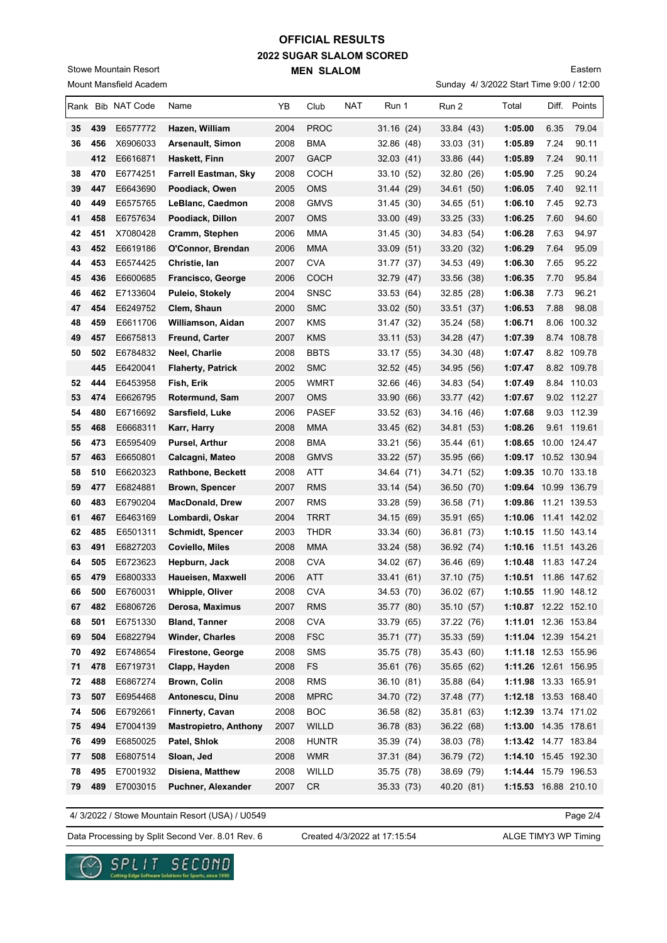## **2022 SUGAR SLALOM SCORED MEN SLALOM OFFICIAL RESULTS**

 **445** E6420041 **Flaherty, Patrick** 2002 SMC 32.52 (45) 34.95 (56) **1:07.47** 8.82 109.78 **52 444** E6453958 **Fish, Erik** 2005 WMRT 32.66 (46) 34.83 (54) **1:07.49** 8.84 110.03 **53 474** E6626795 **Rotermund, Sam** 2007 OMS 33.90 (66) 33.77 (42) **1:07.67** 9.02 112.27 **54 480** E6716692 **Sarsfield, Luke** 2006 PASEF 33.52 (63) 34.16 (46) **1:07.68** 9.03 112.39 **55 468** E6668311 **Karr, Harry** 2008 MMA 33.45 (62) 34.81 (53) **1:08.26** 9.61 119.61 **56 473** E6595409 **Pursel, Arthur** 2008 BMA 33.21 (56) 35.44 (61) **1:08.65** 10.00 124.47 **57 463** E6650801 **Calcagni, Mateo** 2008 GMVS 33.22 (57) 35.95 (66) **1:09.17** 10.52 130.94 **58 510** E6620323 **Rathbone, Beckett** 2008 ATT 34.64 (71) 34.71 (52) **1:09.35** 10.70 133.18 **59 477** E6824881 **Brown, Spencer** 2007 RMS 33.14 (54) 36.50 (70) **1:09.64** 10.99 136.79 **60 483** E6790204 **MacDonald, Drew** 2007 RMS 33.28 (59) 36.58 (71) **1:09.86** 11.21 139.53 **61 467** E6463169 **Lombardi, Oskar** 2004 TRRT 34.15 (69) 35.91 (65) **1:10.06** 11.41 142.02 **62 485** E6501311 **Schmidt, Spencer** 2003 THDR 33.34 (60) 36.81 (73) **1:10.15** 11.50 143.14 **63 491** E6827203 **Coviello, Miles** 2008 MMA 33.24 (58) 36.92 (74) **1:10.16** 11.51 143.26 **64 505** E6723623 **Hepburn, Jack** 2008 CVA 34.02 (67) 36.46 (69) **1:10.48** 11.83 147.24 **65 479** E6800333 **Haueisen, Maxwell** 2006 ATT 33.41 (61) 37.10 (75) **1:10.51** 11.86 147.62 **66 500** E6760031 **Whipple, Oliver** 2008 CVA 34.53 (70) 36.02 (67) **1:10.55** 11.90 148.12 **67 482** E6806726 **Derosa, Maximus** 2007 RMS 35.77 (80) 35.10 (57) **1:10.87** 12.22 152.10 **68 501** E6751330 **Bland, Tanner** 2008 CVA 33.79 (65) 37.22 (76) **1:11.01** 12.36 153.84 **69 504** E6822794 **Winder, Charles** 2008 FSC 35.71 (77) 35.33 (59) **1:11.04** 12.39 154.21 **70 492** E6748654 **Firestone, George** 2008 SMS 35.75 (78) 35.43 (60) **1:11.18** 12.53 155.96 **71 478** E6719731 **Clapp, Hayden** 2008 FS 35.61 (76) 35.65 (62) **1:11.26** 12.61 156.95 **72 488** E6867274 **Brown, Colin** 2008 RMS 36.10 (81) 35.88 (64) **1:11.98** 13.33 165.91 **73 507** E6954468 **Antonescu, Dinu** 2008 MPRC 34.70 (72) 37.48 (77) **1:12.18** 13.53 168.40 **74 506** E6792661 **Finnerty, Cavan** 2008 BOC 36.58 (82) 35.81 (63) **1:12.39** 13.74 171.02 **75 494** E7004139 **Mastropietro, Anthony** 2007 WILLD 36.78 (83) 36.22 (68) **1:13.00** 14.35 178.61 **76 499** E6850025 **Patel, Shlok** 2008 HUNTR 35.39 (74) 38.03 (78) **1:13.42** 14.77 183.84 **77 508** E6807514 **Sloan, Jed** 2008 WMR 37.31 (84) 36.79 (72) **1:14.10** 15.45 192.30 **78 495** E7001932 **Disiena, Matthew** 2008 WILLD 35.75 (78) 38.69 (79) **1:14.44** 15.79 196.53 **79 489** E7003015 **Puchner, Alexander** 2007 CR 35.33 (73) 40.20 (81) **1:15.53** 16.88 210.10

Eastern

| olowc Modificali i tcaoit |     |                        |                             |      | <b>IVIEN SLALUIVI</b> |            |            |                                         |         |       | Laster      |
|---------------------------|-----|------------------------|-----------------------------|------|-----------------------|------------|------------|-----------------------------------------|---------|-------|-------------|
|                           |     | Mount Mansfield Academ |                             |      |                       |            |            | Sunday 4/ 3/2022 Start Time 9:00 / 12:0 |         |       |             |
|                           |     | Rank Bib NAT Code      | Name                        | ΥB   | Club                  | <b>NAT</b> | Run 1      | Run 2                                   | Total   | Diff. | Points      |
| 35                        | 439 | E6577772               | Hazen, William              | 2004 | <b>PROC</b>           |            | 31.16(24)  | 33.84(43)                               | 1:05.00 | 6.35  | 79.04       |
| 36                        | 456 | X6906033               | <b>Arsenault, Simon</b>     | 2008 | <b>BMA</b>            |            | 32.86 (48) | 33.03 (31)                              | 1:05.89 | 7.24  | 90.11       |
|                           | 412 | E6616871               | Haskett, Finn               | 2007 | <b>GACP</b>           |            | 32.03(41)  | 33.86 (44)                              | 1:05.89 | 7.24  | 90.11       |
| 38                        | 470 | E6774251               | <b>Farrell Eastman, Sky</b> | 2008 | <b>COCH</b>           |            | 33.10 (52) | 32.80 (26)                              | 1:05.90 | 7.25  | 90.24       |
| 39                        | 447 | E6643690               | Poodiack, Owen              | 2005 | <b>OMS</b>            |            | 31.44 (29) | 34.61 (50)                              | 1:06.05 | 7.40  | 92.11       |
| 40                        | 449 | E6575765               | LeBlanc, Caedmon            | 2008 | <b>GMVS</b>           |            | 31.45 (30) | 34.65 (51)                              | 1:06.10 | 7.45  | 92.73       |
| 41                        | 458 | E6757634               | Poodiack, Dillon            | 2007 | <b>OMS</b>            |            | 33.00(49)  | 33.25(33)                               | 1:06.25 | 7.60  | 94.60       |
| 42                        | 451 | X7080428               | Cramm, Stephen              | 2006 | MMA                   |            | 31.45 (30) | 34.83 (54)                              | 1:06.28 | 7.63  | 94.97       |
| 43                        | 452 | E6619186               | O'Connor, Brendan           | 2006 | <b>MMA</b>            |            | 33.09 (51) | 33.20 (32)                              | 1:06.29 | 7.64  | 95.09       |
| 44                        | 453 | E6574425               | Christie, Ian               | 2007 | <b>CVA</b>            |            | 31.77 (37) | 34.53 (49)                              | 1:06.30 | 7.65  | 95.22       |
| 45                        | 436 | E6600685               | Francisco, George           | 2006 | <b>COCH</b>           |            | 32.79 (47) | 33.56 (38)                              | 1:06.35 | 7.70  | 95.84       |
| 46                        | 462 | E7133604               | Puleio, Stokely             | 2004 | <b>SNSC</b>           |            | 33.53 (64) | 32.85 (28)                              | 1:06.38 | 7.73  | 96.21       |
| 47                        | 454 | E6249752               | Clem, Shaun                 | 2000 | <b>SMC</b>            |            | 33.02 (50) | 33.51(37)                               | 1:06.53 | 7.88  | 98.08       |
| 48                        | 459 | E6611706               | Williamson, Aidan           | 2007 | <b>KMS</b>            |            | 31.47 (32) | 35.24 (58)                              | 1:06.71 | 8.06  | 100.32      |
| 49                        | 457 | E6675813               | <b>Freund, Carter</b>       | 2007 | <b>KMS</b>            |            | 33.11(53)  | 34.28 (47)                              | 1:07.39 |       | 8.74 108.78 |
| 50                        | 502 | E6784832               | Neel, Charlie               | 2008 | <b>BBTS</b>           |            | 33.17 (55) | 34.30 (48)                              | 1:07.47 |       | 8.82 109.78 |

4/ 3/2022 / Stowe Mountain Resort (USA) / U0549

Page 2/4

Data Processing by Split Second Ver. 8.01 Rev. 6 Created 4/3/2022 at 17:15:54 ALGE TIMY3 WP Timing

Created 4/3/2022 at 17:15:54



Stowe Mountain Resort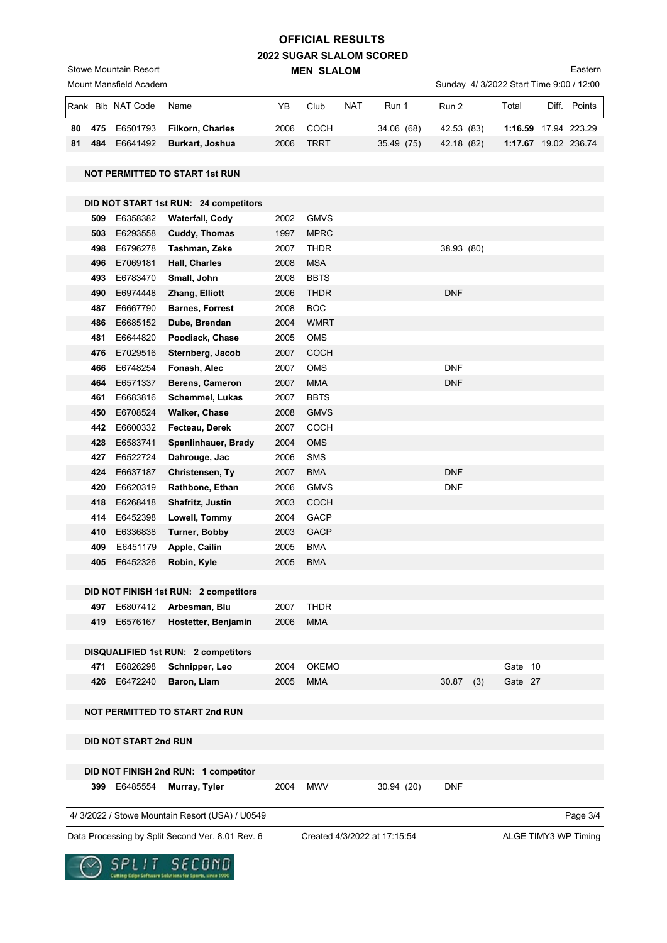## **2022 SUGAR SLALOM SCORED MEN SLALOM OFFICIAL RESULTS**

Eastern

Sunday 4/ 3/2022 Start Time 9:00 / 12:00

|                                                                                                          |                                      | Mount Mansfield Academ |                                                 |      |              |     |            |  |            |     |         |                                              | Sunday 4/ 3/2022 Start Time 9:00 / 12:00 |  |  |
|----------------------------------------------------------------------------------------------------------|--------------------------------------|------------------------|-------------------------------------------------|------|--------------|-----|------------|--|------------|-----|---------|----------------------------------------------|------------------------------------------|--|--|
|                                                                                                          |                                      | Rank Bib NAT Code      | Name                                            | YB   | Club         | NAT | Run 1      |  | Run 2      |     | Total   |                                              | Diff. Points                             |  |  |
| 80                                                                                                       | 475                                  | E6501793               | <b>Filkorn, Charles</b>                         | 2006 | <b>COCH</b>  |     | 34.06 (68) |  | 42.53 (83) |     |         |                                              |                                          |  |  |
| 81                                                                                                       | 484                                  | E6641492               | Burkart, Joshua                                 | 2006 | <b>TRRT</b>  |     | 35.49 (75) |  | 42.18 (82) |     |         |                                              |                                          |  |  |
|                                                                                                          |                                      |                        |                                                 |      |              |     |            |  |            |     |         |                                              |                                          |  |  |
|                                                                                                          |                                      |                        | <b>NOT PERMITTED TO START 1st RUN</b>           |      |              |     |            |  |            |     |         | 1:16.59 17.94 223.29<br>1:17.67 19.02 236.74 |                                          |  |  |
|                                                                                                          |                                      |                        |                                                 |      |              |     |            |  |            |     |         |                                              |                                          |  |  |
|                                                                                                          |                                      |                        | DID NOT START 1st RUN: 24 competitors           |      |              |     |            |  |            |     |         |                                              |                                          |  |  |
|                                                                                                          | 509                                  | E6358382               | Waterfall, Cody                                 | 2002 | <b>GMVS</b>  |     |            |  |            |     |         |                                              |                                          |  |  |
|                                                                                                          | 503                                  | E6293558               | Cuddy, Thomas                                   | 1997 | <b>MPRC</b>  |     |            |  |            |     |         |                                              |                                          |  |  |
|                                                                                                          | 498                                  | E6796278               | Tashman, Zeke                                   | 2007 | <b>THDR</b>  |     |            |  | 38.93 (80) |     |         |                                              |                                          |  |  |
|                                                                                                          | 496                                  | E7069181               | Hall, Charles                                   | 2008 | <b>MSA</b>   |     |            |  |            |     |         |                                              |                                          |  |  |
|                                                                                                          | 493                                  | E6783470               | Small, John                                     | 2008 | <b>BBTS</b>  |     |            |  |            |     |         |                                              |                                          |  |  |
|                                                                                                          | 490                                  | E6974448               | Zhang, Elliott                                  | 2006 | <b>THDR</b>  |     |            |  | <b>DNF</b> |     |         |                                              |                                          |  |  |
|                                                                                                          | 487                                  | E6667790               | <b>Barnes, Forrest</b>                          | 2008 | <b>BOC</b>   |     |            |  |            |     |         |                                              |                                          |  |  |
|                                                                                                          | 486                                  | E6685152               | Dube, Brendan                                   | 2004 | <b>WMRT</b>  |     |            |  |            |     |         |                                              |                                          |  |  |
|                                                                                                          | 481                                  | E6644820               | Poodiack, Chase                                 | 2005 | <b>OMS</b>   |     |            |  |            |     |         |                                              |                                          |  |  |
|                                                                                                          | 476                                  | E7029516               | Sternberg, Jacob                                | 2007 | <b>COCH</b>  |     |            |  |            |     |         |                                              |                                          |  |  |
|                                                                                                          | 466                                  | E6748254               | Fonash, Alec                                    | 2007 | <b>OMS</b>   |     |            |  | <b>DNF</b> |     |         |                                              |                                          |  |  |
|                                                                                                          | 464                                  | E6571337               | Berens, Cameron                                 | 2007 | <b>MMA</b>   |     |            |  | <b>DNF</b> |     |         |                                              |                                          |  |  |
|                                                                                                          | 461                                  | E6683816               | Schemmel, Lukas                                 | 2007 | <b>BBTS</b>  |     |            |  |            |     |         |                                              |                                          |  |  |
|                                                                                                          | 450                                  | E6708524               | <b>Walker, Chase</b>                            | 2008 | <b>GMVS</b>  |     |            |  |            |     |         |                                              |                                          |  |  |
|                                                                                                          | 442                                  | E6600332               | Fecteau, Derek                                  | 2007 | <b>COCH</b>  |     |            |  |            |     |         |                                              |                                          |  |  |
|                                                                                                          | 428                                  | E6583741               | Spenlinhauer, Brady                             | 2004 | OMS          |     |            |  |            |     |         |                                              |                                          |  |  |
|                                                                                                          | 427                                  | E6522724               | Dahrouge, Jac                                   | 2006 | <b>SMS</b>   |     |            |  |            |     |         |                                              |                                          |  |  |
|                                                                                                          | 424                                  | E6637187               | Christensen, Ty                                 | 2007 | <b>BMA</b>   |     |            |  | <b>DNF</b> |     |         |                                              |                                          |  |  |
|                                                                                                          | 420                                  | E6620319               | Rathbone, Ethan                                 | 2006 | <b>GMVS</b>  |     |            |  | <b>DNF</b> |     |         |                                              |                                          |  |  |
|                                                                                                          | 418                                  | E6268418               | Shafritz, Justin                                | 2003 | <b>COCH</b>  |     |            |  |            |     |         |                                              |                                          |  |  |
|                                                                                                          | 414                                  | E6452398               | Lowell, Tommy                                   | 2004 | <b>GACP</b>  |     |            |  |            |     |         |                                              |                                          |  |  |
|                                                                                                          | 410                                  | E6336838               | <b>Turner, Bobby</b>                            | 2003 | <b>GACP</b>  |     |            |  |            |     |         |                                              |                                          |  |  |
|                                                                                                          | 409                                  | E6451179               | Apple, Cailin                                   | 2005 | <b>BMA</b>   |     |            |  |            |     |         |                                              |                                          |  |  |
|                                                                                                          | 405                                  | E6452326               | Robin, Kyle                                     | 2005 | <b>BMA</b>   |     |            |  |            |     |         |                                              |                                          |  |  |
|                                                                                                          |                                      |                        |                                                 |      |              |     |            |  |            |     |         |                                              |                                          |  |  |
|                                                                                                          |                                      |                        | DID NOT FINISH 1st RUN: 2 competitors           |      |              |     |            |  |            |     |         |                                              |                                          |  |  |
|                                                                                                          | 497                                  | E6807412               | Arbesman, Blu                                   | 2007 | <b>THDR</b>  |     |            |  |            |     |         |                                              |                                          |  |  |
|                                                                                                          | 419                                  | E6576167               | Hostetter, Benjamin                             | 2006 | <b>MMA</b>   |     |            |  |            |     |         |                                              |                                          |  |  |
|                                                                                                          |                                      |                        |                                                 |      |              |     |            |  |            |     |         |                                              |                                          |  |  |
|                                                                                                          |                                      |                        | DISQUALIFIED 1st RUN: 2 competitors             |      |              |     |            |  |            |     |         |                                              |                                          |  |  |
|                                                                                                          | 471                                  | E6826298               | Schnipper, Leo                                  | 2004 | <b>OKEMO</b> |     |            |  |            |     | Gate 10 |                                              |                                          |  |  |
|                                                                                                          | 426                                  | E6472240               | Baron, Liam                                     | 2005 | <b>MMA</b>   |     |            |  | 30.87      | (3) | Gate 27 |                                              |                                          |  |  |
|                                                                                                          |                                      |                        |                                                 |      |              |     |            |  |            |     |         |                                              |                                          |  |  |
|                                                                                                          |                                      |                        | <b>NOT PERMITTED TO START 2nd RUN</b>           |      |              |     |            |  |            |     |         |                                              |                                          |  |  |
|                                                                                                          |                                      | DID NOT START 2nd RUN  |                                                 |      |              |     |            |  |            |     |         |                                              |                                          |  |  |
|                                                                                                          | DID NOT FINISH 2nd RUN: 1 competitor |                        |                                                 |      |              |     |            |  |            |     |         |                                              |                                          |  |  |
|                                                                                                          |                                      | 399 E6485554           | Murray, Tyler                                   | 2004 | <b>MWV</b>   |     | 30.94 (20) |  | <b>DNF</b> |     |         |                                              |                                          |  |  |
|                                                                                                          |                                      |                        |                                                 |      |              |     |            |  |            |     |         |                                              |                                          |  |  |
|                                                                                                          |                                      |                        | 4/ 3/2022 / Stowe Mountain Resort (USA) / U0549 |      |              |     |            |  |            |     |         |                                              | Page 3/4                                 |  |  |
| Data Processing by Split Second Ver. 8.01 Rev. 6<br>Created 4/3/2022 at 17:15:54<br>ALGE TIMY3 WP Timing |                                      |                        |                                                 |      |              |     |            |  |            |     |         |                                              |                                          |  |  |



Stowe Mountain Resort